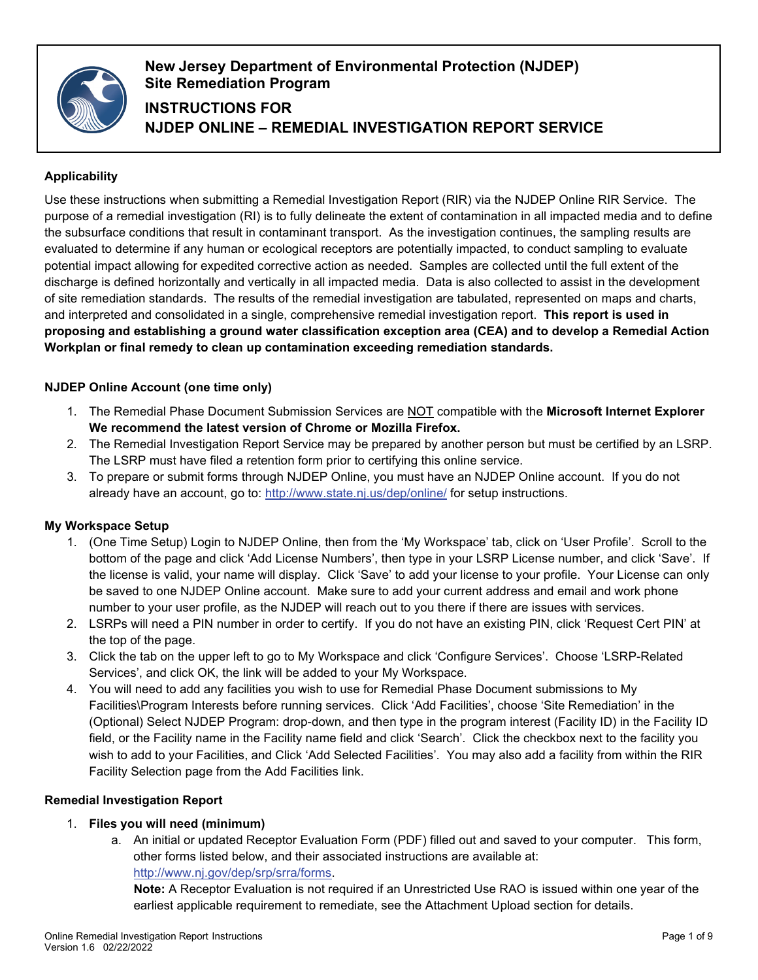

# **New Jersey Department of Environmental Protection (NJDEP) Site Remediation Program INSTRUCTIONS FOR NJDEP ONLINE – REMEDIAL INVESTIGATION REPORT SERVICE**

# **Applicability**

Use these instructions when submitting a Remedial Investigation Report (RIR) via the NJDEP Online RIR Service. The purpose of a remedial investigation (RI) is to fully delineate the extent of contamination in all impacted media and to define the subsurface conditions that result in contaminant transport. As the investigation continues, the sampling results are evaluated to determine if any human or ecological receptors are potentially impacted, to conduct sampling to evaluate potential impact allowing for expedited corrective action as needed. Samples are collected until the full extent of the discharge is defined horizontally and vertically in all impacted media. Data is also collected to assist in the development of site remediation standards. The results of the remedial investigation are tabulated, represented on maps and charts, and interpreted and consolidated in a single, comprehensive remedial investigation report. **This report is used in proposing and establishing a ground water classification exception area (CEA) and to develop a Remedial Action Workplan or final remedy to clean up contamination exceeding remediation standards.**

## **NJDEP Online Account (one time only)**

- 1. The Remedial Phase Document Submission Services are NOT compatible with the **Microsoft Internet Explorer We recommend the latest version of Chrome or Mozilla Firefox.**
- 2. The Remedial Investigation Report Service may be prepared by another person but must be certified by an LSRP. The LSRP must have filed a retention form prior to certifying this online service.
- 3. To prepare or submit forms through NJDEP Online, you must have an NJDEP Online account. If you do not already have an account, go to:<http://www.state.nj.us/dep/online/> for setup instructions.

#### **My Workspace Setup**

- 1. (One Time Setup) Login to NJDEP Online, then from the 'My Workspace' tab, click on 'User Profile'. Scroll to the bottom of the page and click 'Add License Numbers', then type in your LSRP License number, and click 'Save'. If the license is valid, your name will display. Click 'Save' to add your license to your profile. Your License can only be saved to one NJDEP Online account. Make sure to add your current address and email and work phone number to your user profile, as the NJDEP will reach out to you there if there are issues with services.
- 2. LSRPs will need a PIN number in order to certify. If you do not have an existing PIN, click 'Request Cert PIN' at the top of the page.
- 3. Click the tab on the upper left to go to My Workspace and click 'Configure Services'. Choose 'LSRP-Related Services', and click OK, the link will be added to your My Workspace.
- 4. You will need to add any facilities you wish to use for Remedial Phase Document submissions to My Facilities\Program Interests before running services. Click 'Add Facilities', choose 'Site Remediation' in the (Optional) Select NJDEP Program: drop-down, and then type in the program interest (Facility ID) in the Facility ID field, or the Facility name in the Facility name field and click 'Search'. Click the checkbox next to the facility you wish to add to your Facilities, and Click 'Add Selected Facilities'. You may also add a facility from within the RIR Facility Selection page from the Add Facilities link.

#### **Remedial Investigation Report**

## 1. **Files you will need (minimum)**

a. An initial or updated Receptor Evaluation Form (PDF) filled out and saved to your computer. This form, other forms listed below, and their associated instructions are available at: [http://www.nj.gov/dep/srp/srra/forms.](http://www.nj.gov/dep/srp/srra/forms)

**Note:** A Receptor Evaluation is not required if an Unrestricted Use RAO is issued within one year of the earliest applicable requirement to remediate, see the Attachment Upload section for details.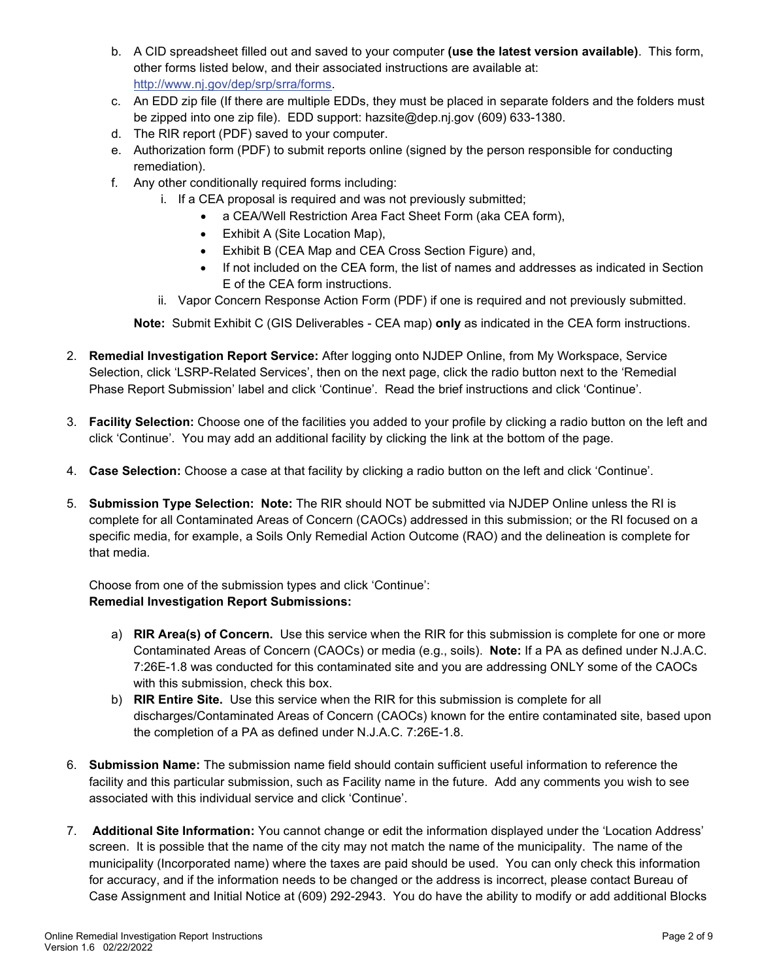- b. A CID spreadsheet filled out and saved to your computer **(use the latest version available)**. This form, other forms listed below, and their associated instructions are available at: [http://www.nj.gov/dep/srp/srra/forms.](http://www.nj.gov/dep/srp/srra/forms)
- c. An EDD zip file (If there are multiple EDDs, they must be placed in separate folders and the folders must be zipped into one zip file). EDD support: [hazsite@dep.nj.gov](mailto:hazsite@dep.nj.gov) (609) 633-1380.
- d. The RIR report (PDF) saved to your computer.
- e. Authorization form (PDF) to submit reports online (signed by the person responsible for conducting remediation).
- f. Any other conditionally required forms including:
	- i. If a CEA proposal is required and was not previously submitted;
		- a CEA/Well Restriction Area Fact Sheet Form (aka CEA form),
		- Exhibit A (Site Location Map),
		- Exhibit B (CEA Map and CEA Cross Section Figure) and,
		- If not included on the CEA form, the list of names and addresses as indicated in Section E of the CEA form instructions.
	- ii. Vapor Concern Response Action Form (PDF) if one is required and not previously submitted.

**Note:** Submit Exhibit C (GIS Deliverables - CEA map) **only** as indicated in the CEA form instructions.

- 2. **Remedial Investigation Report Service:** After logging onto NJDEP Online, from My Workspace, Service Selection, click 'LSRP-Related Services', then on the next page, click the radio button next to the 'Remedial Phase Report Submission' label and click 'Continue'. Read the brief instructions and click 'Continue'.
- 3. **Facility Selection:** Choose one of the facilities you added to your profile by clicking a radio button on the left and click 'Continue'. You may add an additional facility by clicking the link at the bottom of the page.
- 4. **Case Selection:** Choose a case at that facility by clicking a radio button on the left and click 'Continue'.
- 5. **Submission Type Selection: Note:** The RIR should NOT be submitted via NJDEP Online unless the RI is complete for all Contaminated Areas of Concern (CAOCs) addressed in this submission; or the RI focused on a specific media, for example, a Soils Only Remedial Action Outcome (RAO) and the delineation is complete for that media.

Choose from one of the submission types and click 'Continue': **Remedial Investigation Report Submissions:**

- a) **[RIR Area\(s\) of Concern.](javascript:func_open_help_page()** Use this service when the RIR for this submission is complete for one or more Contaminated Areas of Concern (CAOCs) or media (e.g., soils). **Note:** If a PA as defined under N.J.A.C. 7:26E-1.8 was conducted for this contaminated site and you are addressing ONLY some of the CAOCs with this submission, check this box.
- b) **RIR Entire Site.** Use this service when the RIR for this submission is complete for all discharges/Contaminated Areas of Concern (CAOCs) known for the entire contaminated site, based upon the completion of a PA as defined under N.J.A.C. 7:26E-1.8.
- 6. **Submission Name:** The submission name field should contain sufficient useful information to reference the facility and this particular submission, such as Facility name in the future. Add any comments you wish to see associated with this individual service and click 'Continue'.
- 7. **Additional Site Information:** You cannot change or edit the information displayed under the 'Location Address' screen. It is possible that the name of the city may not match the name of the municipality. The name of the municipality (Incorporated name) where the taxes are paid should be used. You can only check this information for accuracy, and if the information needs to be changed or the address is incorrect, please contact Bureau of Case Assignment and Initial Notice at (609) 292-2943. You do have the ability to modify or add additional Blocks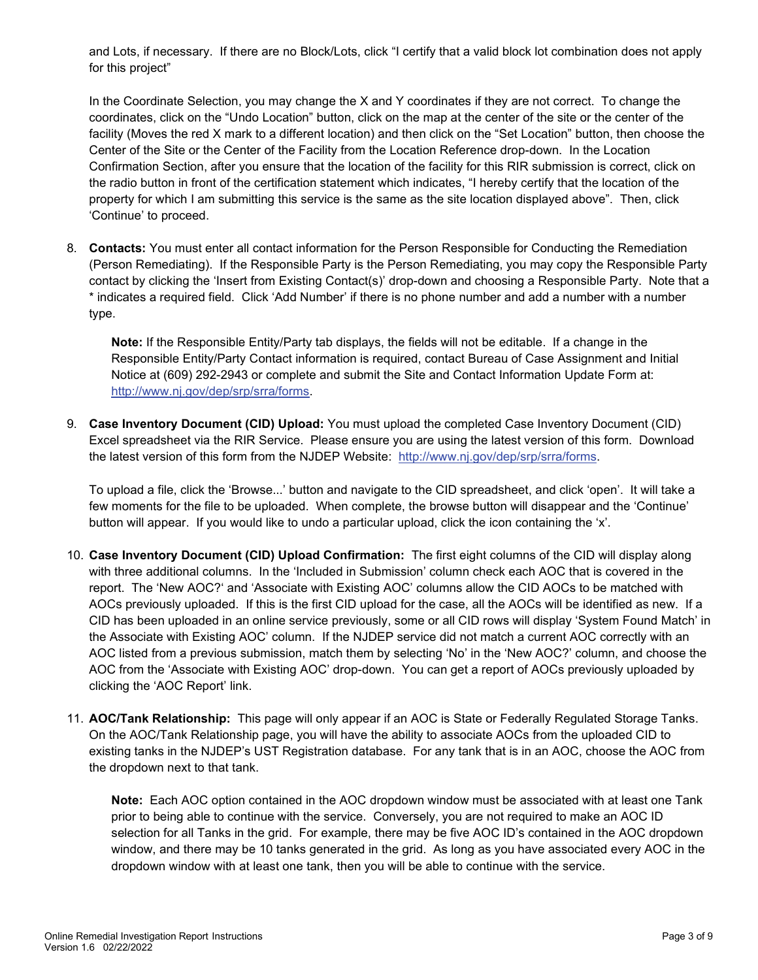and Lots, if necessary. If there are no Block/Lots, click "I certify that a valid block lot combination does not apply for this project"

In the Coordinate Selection, you may change the X and Y coordinates if they are not correct. To change the coordinates, click on the "Undo Location" button, click on the map at the center of the site or the center of the facility (Moves the red X mark to a different location) and then click on the "Set Location" button, then choose the Center of the Site or the Center of the Facility from the Location Reference drop-down. In the Location Confirmation Section, after you ensure that the location of the facility for this RIR submission is correct, click on the radio button in front of the certification statement which indicates, "I hereby certify that the location of the property for which I am submitting this service is the same as the site location displayed above". Then, click 'Continue' to proceed.

8. **Contacts:** You must enter all contact information for the Person Responsible for Conducting the Remediation (Person Remediating). If the Responsible Party is the Person Remediating, you may copy the Responsible Party contact by clicking the 'Insert from Existing Contact(s)' drop-down and choosing a Responsible Party. Note that a \* indicates a required field. Click 'Add Number' if there is no phone number and add a number with a number type.

**Note:** If the Responsible Entity/Party tab displays, the fields will not be editable. If a change in the Responsible Entity/Party Contact information is required, contact Bureau of Case Assignment and Initial Notice at (609) 292-2943 or complete and submit the Site and Contact Information Update Form at: [http://www.nj.gov/dep/srp/srra/forms.](http://www.nj.gov/dep/srp/srra/forms)

9. **Case Inventory Document (CID) Upload:** You must upload the completed Case Inventory Document (CID) Excel spreadsheet via the RIR Service. Please ensure you are using the latest version of this form. Download the latest version of this form from the NJDEP Website: [http://www.nj.gov/dep/srp/srra/forms.](http://www.nj.gov/dep/srp/srra/forms)

To upload a file, click the 'Browse...' button and navigate to the CID spreadsheet, and click 'open'. It will take a few moments for the file to be uploaded. When complete, the browse button will disappear and the 'Continue' button will appear. If you would like to undo a particular upload, click the icon containing the 'x'.

- 10. **Case Inventory Document (CID) Upload Confirmation:** The first eight columns of the CID will display along with three additional columns. In the 'Included in Submission' column check each AOC that is covered in the report. The 'New AOC?' and 'Associate with Existing AOC' columns allow the CID AOCs to be matched with AOCs previously uploaded. If this is the first CID upload for the case, all the AOCs will be identified as new. If a CID has been uploaded in an online service previously, some or all CID rows will display 'System Found Match' in the Associate with Existing AOC' column. If the NJDEP service did not match a current AOC correctly with an AOC listed from a previous submission, match them by selecting 'No' in the 'New AOC?' column, and choose the AOC from the 'Associate with Existing AOC' drop-down. You can get a report of AOCs previously uploaded by clicking the 'AOC Report' link.
- 11. **AOC/Tank Relationship:** This page will only appear if an AOC is State or Federally Regulated Storage Tanks. On the AOC/Tank Relationship page, you will have the ability to associate AOCs from the uploaded CID to existing tanks in the NJDEP's UST Registration database. For any tank that is in an AOC, choose the AOC from the dropdown next to that tank.

**Note:** Each AOC option contained in the AOC dropdown window must be associated with at least one Tank prior to being able to continue with the service. Conversely, you are not required to make an AOC ID selection for all Tanks in the grid. For example, there may be five AOC ID's contained in the AOC dropdown window, and there may be 10 tanks generated in the grid. As long as you have associated every AOC in the dropdown window with at least one tank, then you will be able to continue with the service.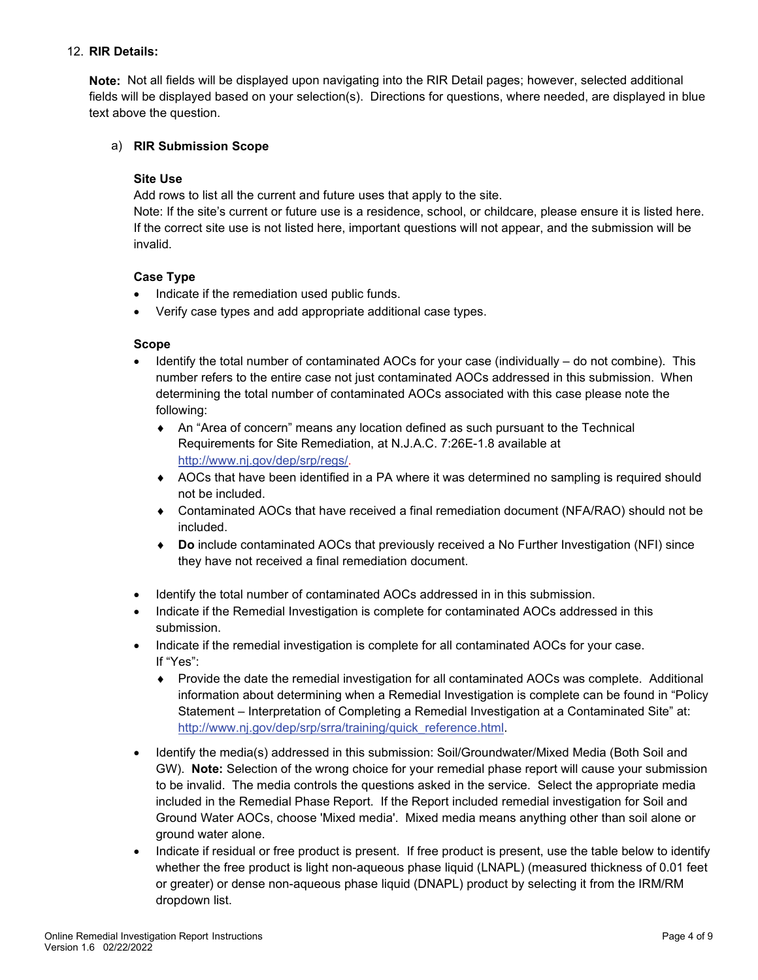## 12. **RIR Details:**

**Note:** Not all fields will be displayed upon navigating into the RIR Detail pages; however, selected additional fields will be displayed based on your selection(s). Directions for questions, where needed, are displayed in blue text above the question.

#### a) **RIR Submission Scope**

#### **Site Use**

Add rows to list all the current and future uses that apply to the site.

Note: If the site's current or future use is a residence, school, or childcare, please ensure it is listed here. If the correct site use is not listed here, important questions will not appear, and the submission will be invalid.

## **Case Type**

- Indicate if the remediation used public funds.
- Verify case types and add appropriate additional case types.

#### **Scope**

- Identify the total number of contaminated AOCs for your case (individually do not combine). This number refers to the entire case not just contaminated AOCs addressed in this submission. When determining the total number of contaminated AOCs associated with this case please note the following:
	- ♦ An "Area of concern" means any location defined as such pursuant to the Technical Requirements for Site Remediation, at N.J.A.C. 7:26E-1.8 available at [http://www.nj.gov/dep/srp/regs/.](http://www.nj.gov/dep/srp/regs/)
	- ♦ AOCs that have been identified in a PA where it was determined no sampling is required should not be included.
	- Contaminated AOCs that have received a final remediation document (NFA/RAO) should not be included.
	- **Do** include contaminated AOCs that previously received a No Further Investigation (NFI) since they have not received a final remediation document.
- Identify the total number of contaminated AOCs addressed in in this submission.
- Indicate if the Remedial Investigation is complete for contaminated AOCs addressed in this submission.
- Indicate if the remedial investigation is complete for all contaminated AOCs for your case. If "Yes":
	- ♦ Provide the date the remedial investigation for all contaminated AOCs was complete. Additional information about determining when a Remedial Investigation is complete can be found in "Policy Statement – Interpretation of Completing a Remedial Investigation at a Contaminated Site" at: [http://www.nj.gov/dep/srp/srra/training/quick\\_reference.html.](http://www.nj.gov/dep/srp/srra/training/quick_reference.html)
- Identify the media(s) addressed in this submission: Soil/Groundwater/Mixed Media (Both Soil and GW). **Note:** Selection of the wrong choice for your remedial phase report will cause your submission to be invalid. The media controls the questions asked in the service. Select the appropriate media included in the Remedial Phase Report. If the Report included remedial investigation for Soil and Ground Water AOCs, choose 'Mixed media'. Mixed media means anything other than soil alone or ground water alone.
- Indicate if residual or free product is present. If free product is present, use the table below to identify whether the free product is light non-aqueous phase liquid (LNAPL) (measured thickness of 0.01 feet or greater) or dense non-aqueous phase liquid (DNAPL) product by selecting it from the IRM/RM dropdown list.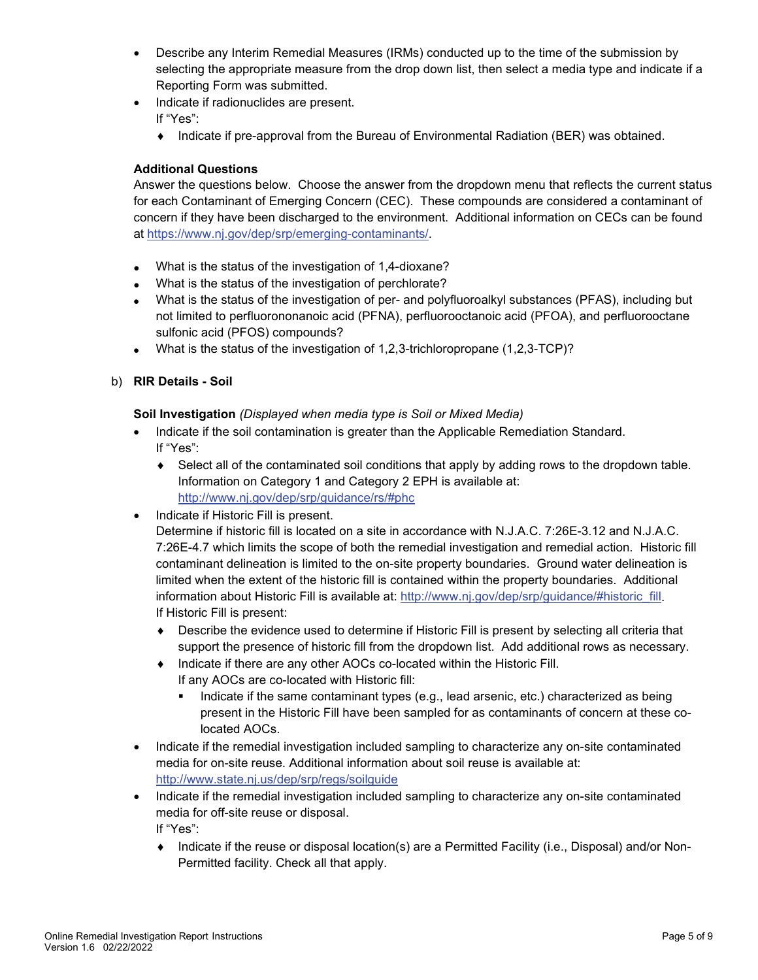- Describe any Interim Remedial Measures (IRMs) conducted up to the time of the submission by selecting the appropriate measure from the drop down list, then select a media type and indicate if a Reporting Form was submitted.
- Indicate if radionuclides are present.
	- If "Yes":
	- ♦ Indicate if pre-approval from the Bureau of Environmental Radiation (BER) was obtained.

## **Additional Questions**

Answer the questions below. Choose the answer from the dropdown menu that reflects the current status for each Contaminant of Emerging Concern (CEC). These compounds are considered a contaminant of concern if they have been discharged to the environment. Additional information on CECs can be found at [https://www.nj.gov/dep/srp/emerging-contaminants/.](https://www.nj.gov/dep/srp/emerging-contaminants/)

- What is the status of the investigation of 1,4-dioxane?
- What is the status of the investigation of perchlorate?
- What is the status of the investigation of per- and polyfluoroalkyl substances (PFAS), including but not limited to perfluorononanoic acid (PFNA), perfluorooctanoic acid (PFOA), and perfluorooctane sulfonic acid (PFOS) compounds?
- What is the status of the investigation of 1,2,3-trichloropropane (1,2,3-TCP)?
- b) **RIR Details - Soil**

**Soil Investigation** *(Displayed when media type is Soil or Mixed Media)*

- Indicate if the soil contamination is greater than the Applicable Remediation Standard. If "Yes":
	- ♦ Select all of the contaminated soil conditions that apply by adding rows to the dropdown table. Information on Category 1 and Category 2 EPH is available at: <http://www.nj.gov/dep/srp/guidance/rs/#phc>
- Indicate if Historic Fill is present.

Determine if historic fill is located on a site in accordance with N.J.A.C. 7:26E-3.12 and N.J.A.C. 7:26E-4.7 which limits the scope of both the remedial investigation and remedial action. Historic fill contaminant delineation is limited to the on-site property boundaries. Ground water delineation is limited when the extent of the historic fill is contained within the property boundaries. Additional information about Historic Fill is available at: [http://www.nj.gov/dep/srp/guidance/#historic\\_fill.](http://www.nj.gov/dep/srp/guidance/#historic_fill) If Historic Fill is present:

- ♦ Describe the evidence used to determine if Historic Fill is present by selecting all criteria that support the presence of historic fill from the dropdown list. Add additional rows as necessary.
- ♦ Indicate if there are any other AOCs co-located within the Historic Fill. If any AOCs are co-located with Historic fill:
	- **Indicate if the same contaminant types (e.g., lead arsenic, etc.) characterized as being** present in the Historic Fill have been sampled for as contaminants of concern at these colocated AOCs.
- Indicate if the remedial investigation included sampling to characterize any on-site contaminated media for on-site reuse. Additional information about soil reuse is available at: <http://www.state.nj.us/dep/srp/regs/soilguide>
- Indicate if the remedial investigation included sampling to characterize any on-site contaminated media for off-site reuse or disposal.

If "Yes":

♦ Indicate if the reuse or disposal location(s) are a Permitted Facility (i.e., Disposal) and/or Non-Permitted facility. Check all that apply.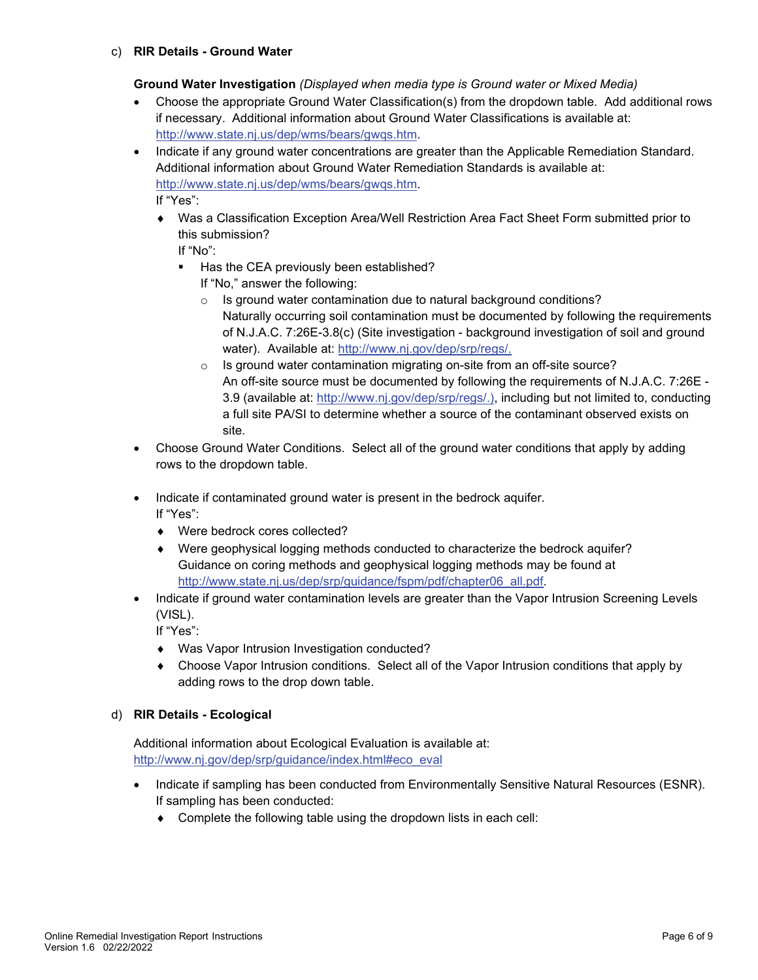**Ground Water Investigation** *(Displayed when media type is Ground water or Mixed Media)*

- Choose the appropriate Ground Water Classification(s) from the dropdown table. Add additional rows if necessary. Additional information about Ground Water Classifications is available at: [http://www.state.nj.us/dep/wms/bears/gwqs.htm.](http://www.state.nj.us/dep/wms/bears/gwqs.htm)
- Indicate if any ground water concentrations are greater than the Applicable Remediation Standard. Additional information about Ground Water Remediation Standards is available at: [http://www.state.nj.us/dep/wms/bears/gwqs.htm.](http://www.state.nj.us/dep/wms/bears/gwqs.htm) If "Yes":
	- ♦ Was a Classification Exception Area/Well Restriction Area Fact Sheet Form submitted prior to this submission?

If "No":

- Has the CEA previously been established?
	- If "No," answer the following:
	- Is ground water contamination due to natural background conditions? Naturally occurring soil contamination must be documented by following the requirements of [N.J.A.C. 7:26E-3.8\(c\)](http://www.nj.gov/dep/srp/regs/) (Site investigation - background investigation of soil and ground water). Available at: [http://www.nj.gov/dep/srp/regs/.](http://www.nj.gov/dep/srp/regs/)
	- $\circ$  Is ground water contamination migrating on-site from an off-site source? An off-site source must be documented by following the requirements of [N.J.A.C. 7:26E -](http://www.nj.gov/dep/srp/regs/) [3.9](http://www.nj.gov/dep/srp/regs/) (available at: [http://www.nj.gov/dep/srp/regs/.\)](http://www.nj.gov/dep/srp/regs/), including but not limited to, conducting a full site PA/SI to determine whether a source of the contaminant observed exists on site.
- Choose Ground Water Conditions. Select all of the ground water conditions that apply by adding rows to the dropdown table.
- Indicate if contaminated ground water is present in the bedrock aquifer. If "Yes":
	- ♦ Were bedrock cores collected?
	- Were geophysical logging methods conducted to characterize the bedrock aquifer? Guidance on coring methods and geophysical logging methods may be found at [http://www.state.nj.us/dep/srp/guidance/fspm/pdf/chapter06\\_all.pdf.](http://www.state.nj.us/dep/srp/guidance/fspm/pdf/chapter06_all.pdf)
- Indicate if ground water contamination levels are greater than the Vapor Intrusion Screening Levels (VISL).

If "Yes":

- ♦ Was Vapor Intrusion Investigation conducted?
- ♦ Choose Vapor Intrusion conditions. Select all of the Vapor Intrusion conditions that apply by adding rows to the drop down table.
- d) **RIR Details - Ecological**

Additional information about Ecological Evaluation is available at: [http://www.nj.gov/dep/srp/guidance/index.html#eco\\_eval](http://www.nj.gov/dep/srp/guidance/index.html#eco_eval)

- Indicate if sampling has been conducted from Environmentally Sensitive Natural Resources (ESNR). If sampling has been conducted:
	- ♦ Complete the following table using the dropdown lists in each cell: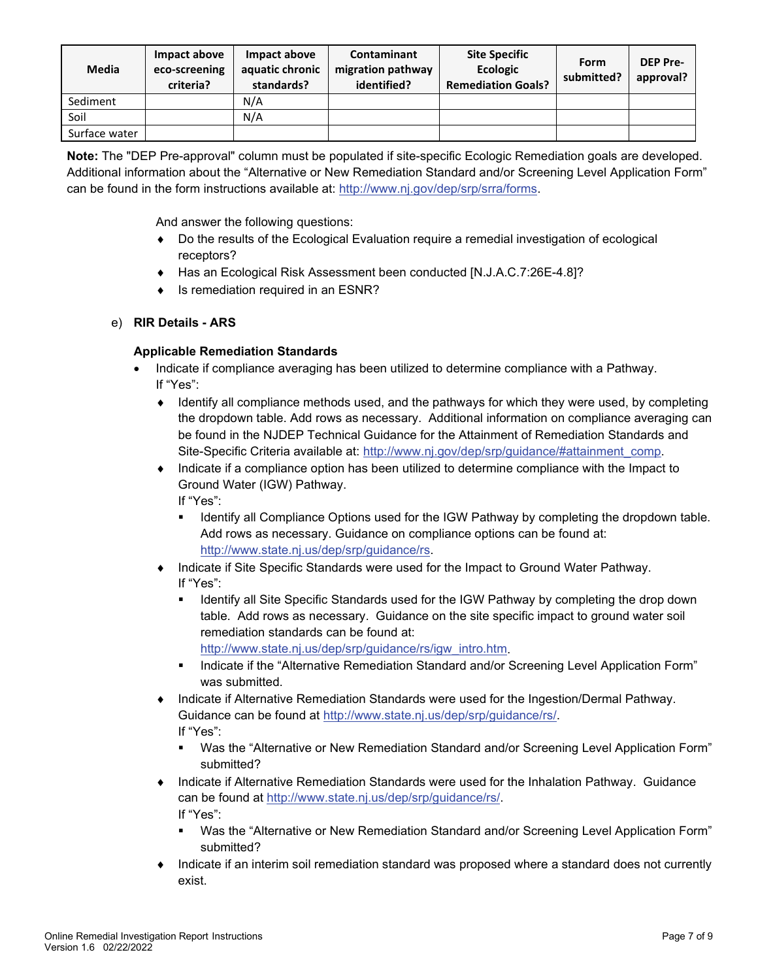| Media         | Impact above<br>eco-screening<br>criteria? | Impact above<br>aquatic chronic<br>standards? | <b>Contaminant</b><br>migration pathway<br>identified? | <b>Site Specific</b><br><b>Ecologic</b><br><b>Remediation Goals?</b> | <b>Form</b><br>submitted? | <b>DEP Pre-</b><br>approval? |
|---------------|--------------------------------------------|-----------------------------------------------|--------------------------------------------------------|----------------------------------------------------------------------|---------------------------|------------------------------|
| Sediment      |                                            | N/A                                           |                                                        |                                                                      |                           |                              |
| Soil          |                                            | N/A                                           |                                                        |                                                                      |                           |                              |
| Surface water |                                            |                                               |                                                        |                                                                      |                           |                              |

**Note:** The "DEP Pre-approval" column must be populated if site-specific Ecologic Remediation goals are developed. Additional information about the "Alternative or New Remediation Standard and/or Screening Level Application Form" can be found in the form instructions available at: [http://www.nj.gov/dep/srp/srra/forms.](http://www.nj.gov/dep/srp/srra/forms)

And answer the following questions:

- ♦ Do the results of the Ecological Evaluation require a remedial investigation of ecological receptors?
- ♦ Has an Ecological Risk Assessment been conducted [N.J.A.C.7:26E-4.8]?
- ♦ Is remediation required in an ESNR?

# e) **RIR Details - ARS**

# **Applicable Remediation Standards**

- Indicate if compliance averaging has been utilized to determine compliance with a Pathway. If "Yes":
	- ♦ Identify all compliance methods used, and the pathways for which they were used, by completing the dropdown table. Add rows as necessary. Additional information on compliance averaging can be found in the NJDEP Technical Guidance for the Attainment of Remediation Standards and Site-Specific Criteria available at: [http://www.nj.gov/dep/srp/guidance/#attainment\\_comp.](http://www.nj.gov/dep/srp/guidance/#attainment_comp)
	- Indicate if a compliance option has been utilized to determine compliance with the Impact to Ground Water (IGW) Pathway. If "Yes":
		- **IDENTIFY ALL COMPLIANCE Options used for the IGW Pathway by completing the dropdown table.** Add rows as necessary. Guidance on compliance options can be found at: [http://www.state.nj.us/dep/srp/guidance/rs.](http://www.state.nj.us/dep/srp/guidance/rs)
	- ♦ Indicate if Site Specific Standards were used for the Impact to Ground Water Pathway. If "Yes":
		- Identify all Site Specific Standards used for the IGW Pathway by completing the drop down table. Add rows as necessary. Guidance on the site specific impact to ground water soil remediation standards can be found at:
			- [http://www.state.nj.us/dep/srp/guidance/rs/igw\\_intro.htm.](http://www.state.nj.us/dep/srp/guidance/rs/igw_intro.htm)
		- Indicate if the "Alternative Remediation Standard and/or Screening Level Application Form" was submitted.
	- Indicate if Alternative Remediation Standards were used for the Ingestion/Dermal Pathway. Guidance can be found at [http://www.state.nj.us/dep/srp/guidance/rs/.](http://www.state.nj.us/dep/srp/guidance/rs/) If "Yes":
		- Was the "Alternative or New Remediation Standard and/or Screening Level Application Form" submitted?
	- Indicate if Alternative Remediation Standards were used for the Inhalation Pathway. Guidance can be found at [http://www.state.nj.us/dep/srp/guidance/rs/.](http://www.state.nj.us/dep/srp/guidance/rs/) If "Yes":
		- Was the "Alternative or New Remediation Standard and/or Screening Level Application Form" submitted?
	- Indicate if an interim soil remediation standard was proposed where a standard does not currently exist.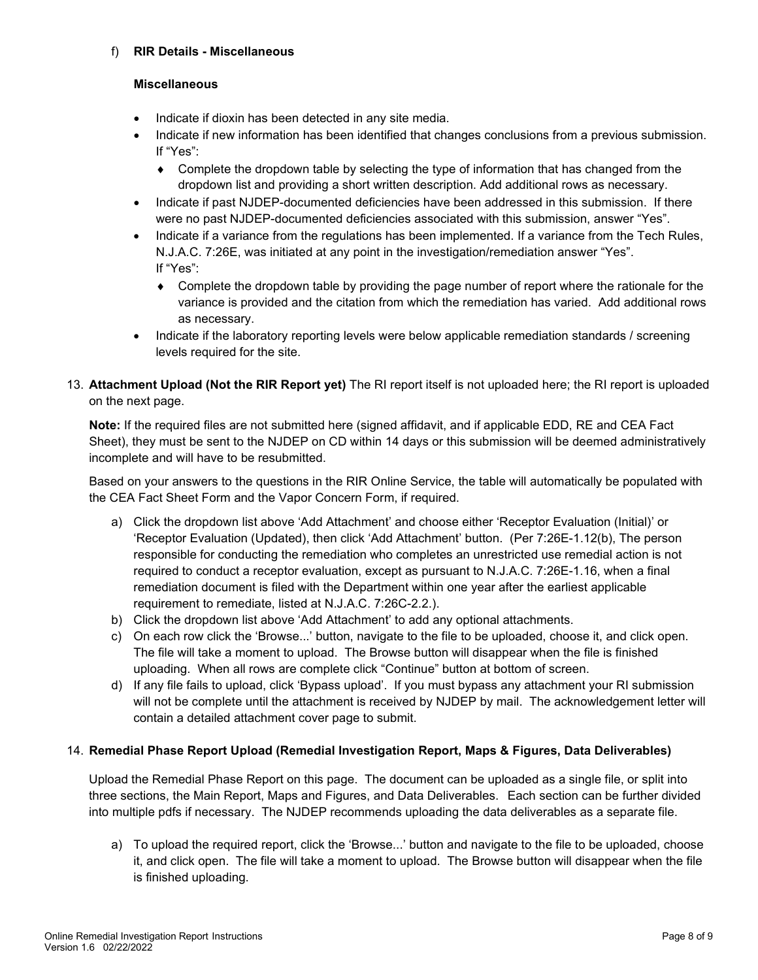## f) **RIR Details - Miscellaneous**

#### **Miscellaneous**

- Indicate if dioxin has been detected in any site media.
- Indicate if new information has been identified that changes conclusions from a previous submission. If "Yes":
	- ♦ Complete the dropdown table by selecting the type of information that has changed from the dropdown list and providing a short written description. Add additional rows as necessary.
- Indicate if past NJDEP-documented deficiencies have been addressed in this submission. If there were no past NJDEP-documented deficiencies associated with this submission, answer "Yes".
- Indicate if a variance from the regulations has been implemented. If a variance from the Tech Rules, N.J.A.C. 7:26E, was initiated at any point in the investigation/remediation answer "Yes". If "Yes":
	- ♦ Complete the dropdown table by providing the page number of report where the rationale for the variance is provided and the citation from which the remediation has varied. Add additional rows as necessary.
- Indicate if the laboratory reporting levels were below applicable remediation standards / screening levels required for the site.
- 13. **Attachment Upload (Not the RIR Report yet)** The RI report itself is not uploaded here; the RI report is uploaded on the next page.

**Note:** If the required files are not submitted here (signed affidavit, and if applicable EDD, RE and CEA Fact Sheet), they must be sent to the NJDEP on CD within 14 days or this submission will be deemed administratively incomplete and will have to be resubmitted.

Based on your answers to the questions in the RIR Online Service, the table will automatically be populated with the CEA Fact Sheet Form and the Vapor Concern Form, if required.

- a) Click the dropdown list above 'Add Attachment' and choose either 'Receptor Evaluation (Initial)' or 'Receptor Evaluation (Updated), then click 'Add Attachment' button. (Per 7:26E-1.12(b), The person responsible for conducting the remediation who completes an unrestricted use remedial action is not required to conduct a receptor evaluation, except as pursuant to N.J.A.C. 7:26E-1.16, when a final remediation document is filed with the Department within one year after the earliest applicable requirement to remediate, listed at N.J.A.C. 7:26C-2.2.).
- b) Click the dropdown list above 'Add Attachment' to add any optional attachments.
- c) On each row click the 'Browse...' button, navigate to the file to be uploaded, choose it, and click open. The file will take a moment to upload. The Browse button will disappear when the file is finished uploading. When all rows are complete click "Continue" button at bottom of screen.
- d) If any file fails to upload, click 'Bypass upload'. If you must bypass any attachment your RI submission will not be complete until the attachment is received by NJDEP by mail. The acknowledgement letter will contain a detailed attachment cover page to submit.

## 14. **Remedial Phase Report Upload (Remedial Investigation Report, Maps & Figures, Data Deliverables)**

Upload the Remedial Phase Report on this page. The document can be uploaded as a single file, or split into three sections, the Main Report, Maps and Figures, and Data Deliverables. Each section can be further divided into multiple pdfs if necessary. The NJDEP recommends uploading the data deliverables as a separate file.

a) To upload the required report, click the 'Browse...' button and navigate to the file to be uploaded, choose it, and click open. The file will take a moment to upload. The Browse button will disappear when the file is finished uploading.